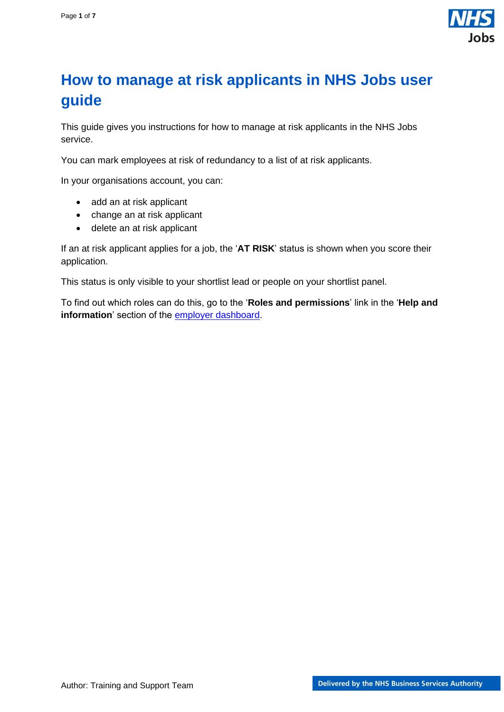

## <span id="page-0-0"></span>**How to manage at risk applicants in NHS Jobs user guide**

This guide gives you instructions for how to manage at risk applicants in the NHS Jobs service.

You can mark employees at risk of redundancy to a list of at risk applicants.

In your organisations account, you can:

- add an at risk applicant
- change an at risk applicant
- delete an at risk applicant

If an at risk applicant applies for a job, the '**AT RISK**' status is shown when you score their application.

This status is only visible to your shortlist lead or people on your shortlist panel.

To find out which roles can do this, go to the '**Roles and permissions**' link in the '**Help and information**' section of the [employer dashboard.](https://beta.jobs.nhs.uk/home)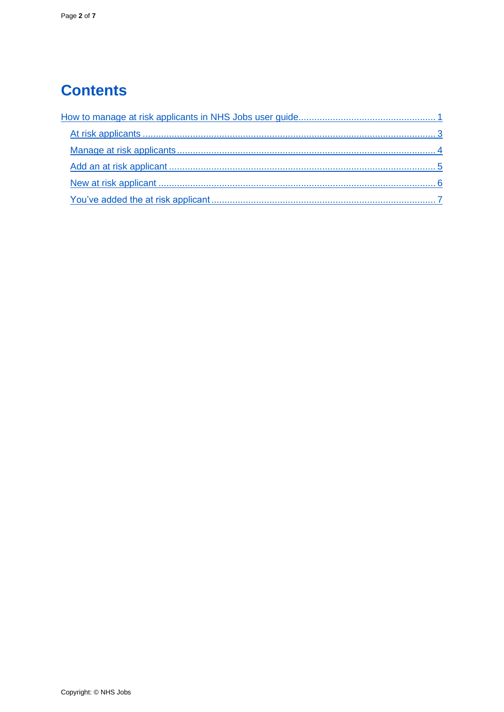# **Contents**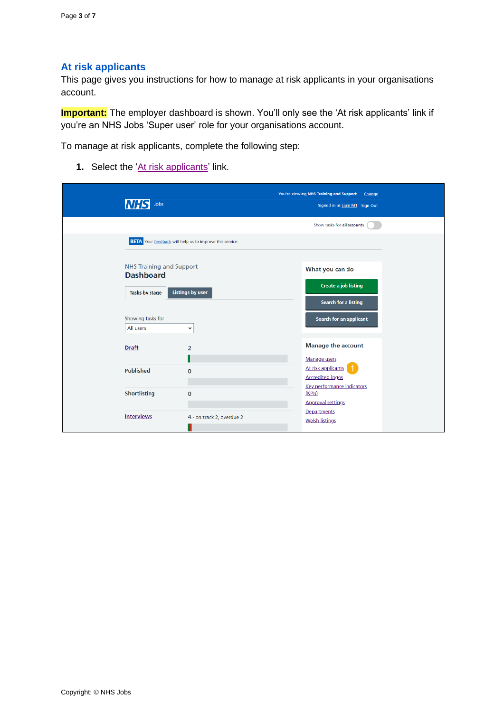## <span id="page-2-0"></span>**At risk applicants**

This page gives you instructions for how to manage at risk applicants in your organisations account.

**Important:** The employer dashboard is shown. You'll only see the 'At risk applicants' link if you're an NHS Jobs 'Super user' role for your organisations account.

To manage at risk applicants, complete the following step:

1. Select the ['At risk applicants'](#page-3-0) link.

| Jobs<br><b>INHSI</b>                                |                                                                 | You're viewing NHS Training and Support<br>Change<br>Signed in as Liam M1 Sign Out |  |
|-----------------------------------------------------|-----------------------------------------------------------------|------------------------------------------------------------------------------------|--|
|                                                     |                                                                 | Show tasks for all accounts                                                        |  |
|                                                     | <b>BETA</b> Your feedback will help us to improve this service. |                                                                                    |  |
| <b>NHS Training and Support</b><br><b>Dashboard</b> |                                                                 | What you can do                                                                    |  |
| Tasks by stage                                      | <b>Listings by user</b>                                         | <b>Create a job listing</b><br><b>Search for a listing</b>                         |  |
| Showing tasks for<br>All users                      | $\checkmark$                                                    | Search for an applicant                                                            |  |
| <b>Draft</b>                                        | 2                                                               | <b>Manage the account</b><br>Manage users                                          |  |
| <b>Published</b>                                    | $\mathbf 0$                                                     | At risk applicants<br><b>Accredited logos</b>                                      |  |
| <b>Shortlisting</b>                                 | $\Omega$                                                        | Key performance indicators<br>(KPIs)<br><b>Approval settings</b>                   |  |
| <b>Interviews</b>                                   | 4 - on track 2, overdue 2                                       | Departments<br><b>Welsh listings</b>                                               |  |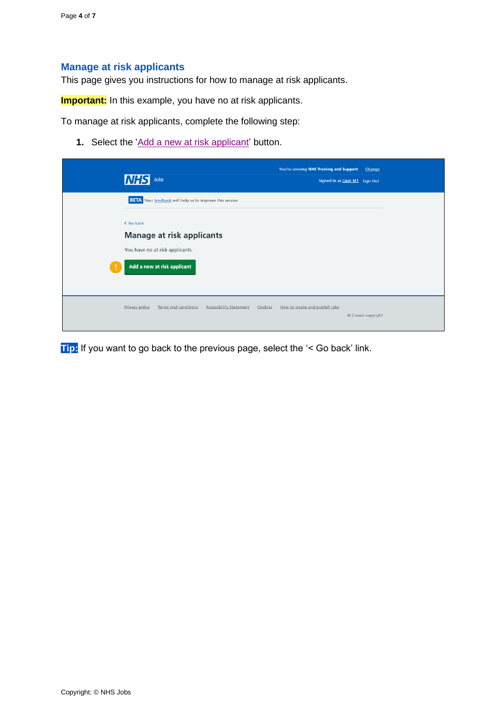## <span id="page-3-0"></span>**Manage at risk applicants**

This page gives you instructions for how to manage at risk applicants.

**Important:** In this example, you have no at risk applicants.

To manage at risk applicants, complete the following step:

**1.** Select the ['Add a new at risk applicant'](#page-4-0) button.

|                                                                                                                 |                                |         | You're viewing NHS Training and Support |  | Change            |  |
|-----------------------------------------------------------------------------------------------------------------|--------------------------------|---------|-----------------------------------------|--|-------------------|--|
| <b>NHS</b><br>Jobs                                                                                              |                                |         | Signed in as Liam M1 Sign Out           |  |                   |  |
| <b>BETA</b> Your feedback will help us to improve this service.                                                 |                                |         |                                         |  |                   |  |
| < Go back<br><b>Manage at risk applicants</b><br>You have no at risk applicants.<br>Add a new at risk applicant |                                |         |                                         |  |                   |  |
|                                                                                                                 |                                |         |                                         |  |                   |  |
| <b>Privacy policy</b><br>Terms and conditions                                                                   | <b>Accessibility Statement</b> | Cookies | How to create and publish jobs          |  | © Crown copyright |  |

**Tip:** If you want to go back to the previous page, select the '< Go back' link.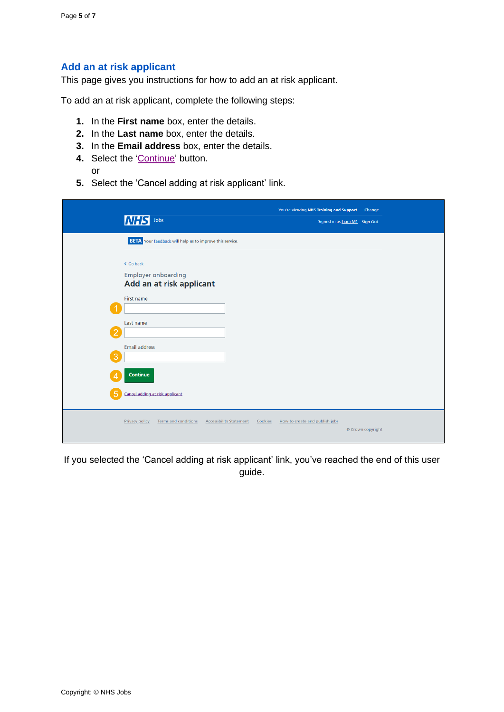#### <span id="page-4-0"></span>**Add an at risk applicant**

This page gives you instructions for how to add an at risk applicant.

To add an at risk applicant, complete the following steps:

- **1.** In the **First name** box, enter the details.
- **2.** In the **Last name** box, enter the details.
- **3.** In the **Email address** box, enter the details.
- 4. Select the ['Continue'](#page-5-0) button.
	- or
- **5.** Select the 'Cancel adding at risk applicant' link.

| Jobs<br><b>NHS</b>                                                  | You're viewing NHS Training and Support<br>Change<br>Signed in as Liam M1 Sign Out               |
|---------------------------------------------------------------------|--------------------------------------------------------------------------------------------------|
| <b>BETA</b> Your feedback will help us to improve this service.     |                                                                                                  |
| < Go back<br><b>Employer onboarding</b><br>Add an at risk applicant |                                                                                                  |
| First name                                                          |                                                                                                  |
| Last name<br>2                                                      |                                                                                                  |
| <b>Email address</b><br>3                                           |                                                                                                  |
| <b>Continue</b><br>Δ                                                |                                                                                                  |
| Cancel adding at risk applicant<br>5                                |                                                                                                  |
| Privacy policy<br>Terms and conditions                              | <b>Accessibility Statement</b><br>Cookies<br>How to create and publish jobs<br>© Crown copyright |

If you selected the 'Cancel adding at risk applicant' link, you've reached the end of this user guide.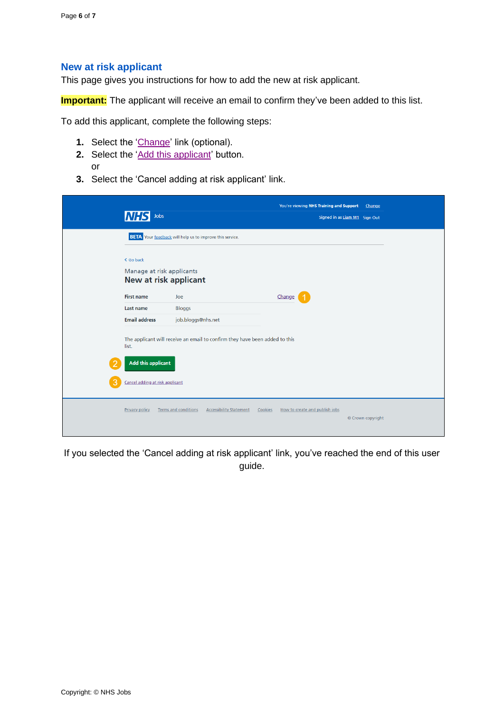#### <span id="page-5-0"></span>**New at risk applicant**

This page gives you instructions for how to add the new at risk applicant.

**Important:** The applicant will receive an email to confirm they've been added to this list.

To add this applicant, complete the following steps:

- **1.** Select the ['Change'](#page-4-0) link (optional).
- 2. Select the ['Add this applicant'](#page-6-0) button. or
- **3.** Select the 'Cancel adding at risk applicant' link.

| Jobs<br><b>NHS</b>                                                     |                                                                             | You're viewing NHS Training and Support | Change<br>Signed in as Liam M1 Sign Out |
|------------------------------------------------------------------------|-----------------------------------------------------------------------------|-----------------------------------------|-----------------------------------------|
|                                                                        | <b>BETA</b> Your feedback will help us to improve this service.             |                                         |                                         |
| < Go back<br>Manage at risk applicants<br><b>New at risk applicant</b> |                                                                             |                                         |                                         |
| <b>First name</b>                                                      | Joe                                                                         | Change                                  |                                         |
| Last name                                                              | <b>Bloggs</b>                                                               |                                         |                                         |
| <b>Email address</b>                                                   | job.bloggs@nhs.net                                                          |                                         |                                         |
|                                                                        |                                                                             |                                         |                                         |
| list.<br><b>Add this applicant</b><br>Cancel adding at risk applicant  | The applicant will receive an email to confirm they have been added to this |                                         |                                         |

If you selected the 'Cancel adding at risk applicant' link, you've reached the end of this user guide.